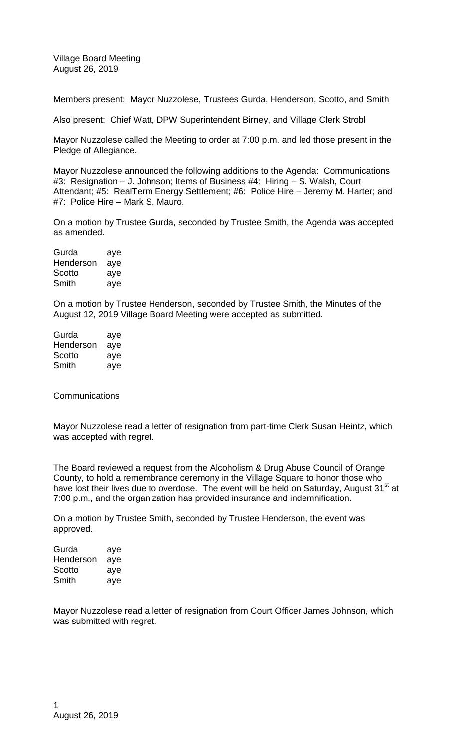Village Board Meeting August 26, 2019

Members present: Mayor Nuzzolese, Trustees Gurda, Henderson, Scotto, and Smith

Also present: Chief Watt, DPW Superintendent Birney, and Village Clerk Strobl

Mayor Nuzzolese called the Meeting to order at 7:00 p.m. and led those present in the Pledge of Allegiance.

Mayor Nuzzolese announced the following additions to the Agenda: Communications #3: Resignation – J. Johnson; Items of Business #4: Hiring – S. Walsh, Court Attendant; #5: RealTerm Energy Settlement; #6: Police Hire – Jeremy M. Harter; and #7: Police Hire – Mark S. Mauro.

On a motion by Trustee Gurda, seconded by Trustee Smith, the Agenda was accepted as amended.

| aye |
|-----|
| aye |
| aye |
| aye |
|     |

On a motion by Trustee Henderson, seconded by Trustee Smith, the Minutes of the August 12, 2019 Village Board Meeting were accepted as submitted.

| Gurda     | aye |
|-----------|-----|
| Henderson | aye |
| Scotto    | aye |
| Smith     | aye |

**Communications** 

Mayor Nuzzolese read a letter of resignation from part-time Clerk Susan Heintz, which was accepted with regret.

The Board reviewed a request from the Alcoholism & Drug Abuse Council of Orange County, to hold a remembrance ceremony in the Village Square to honor those who have lost their lives due to overdose. The event will be held on Saturday, August 31<sup>st</sup> at 7:00 p.m., and the organization has provided insurance and indemnification.

On a motion by Trustee Smith, seconded by Trustee Henderson, the event was approved.

| Gurda     | aye |
|-----------|-----|
| Henderson | aye |
| Scotto    | aye |
| Smith     | aye |

Mayor Nuzzolese read a letter of resignation from Court Officer James Johnson, which was submitted with regret.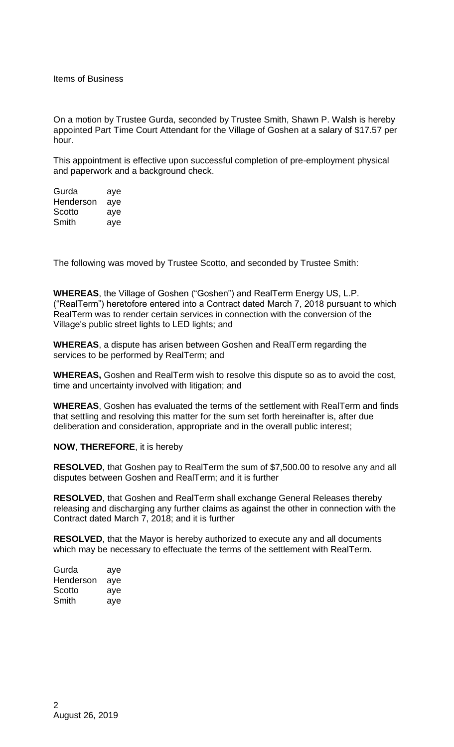Items of Business

On a motion by Trustee Gurda, seconded by Trustee Smith, Shawn P. Walsh is hereby appointed Part Time Court Attendant for the Village of Goshen at a salary of \$17.57 per hour.

This appointment is effective upon successful completion of pre-employment physical and paperwork and a background check.

| Gurda     | aye |
|-----------|-----|
| Henderson | aye |
| Scotto    | aye |
| Smith     | aye |

The following was moved by Trustee Scotto, and seconded by Trustee Smith:

**WHEREAS**, the Village of Goshen ("Goshen") and RealTerm Energy US, L.P. ("RealTerm") heretofore entered into a Contract dated March 7, 2018 pursuant to which RealTerm was to render certain services in connection with the conversion of the Village's public street lights to LED lights; and

**WHEREAS**, a dispute has arisen between Goshen and RealTerm regarding the services to be performed by RealTerm; and

**WHEREAS,** Goshen and RealTerm wish to resolve this dispute so as to avoid the cost, time and uncertainty involved with litigation; and

**WHEREAS**, Goshen has evaluated the terms of the settlement with RealTerm and finds that settling and resolving this matter for the sum set forth hereinafter is, after due deliberation and consideration, appropriate and in the overall public interest;

**NOW**, **THEREFORE**, it is hereby

**RESOLVED**, that Goshen pay to RealTerm the sum of \$7,500.00 to resolve any and all disputes between Goshen and RealTerm; and it is further

**RESOLVED**, that Goshen and RealTerm shall exchange General Releases thereby releasing and discharging any further claims as against the other in connection with the Contract dated March 7, 2018; and it is further

**RESOLVED**, that the Mayor is hereby authorized to execute any and all documents which may be necessary to effectuate the terms of the settlement with RealTerm.

| Gurda     | aye |
|-----------|-----|
| Henderson | aye |
| Scotto    | aye |
| Smith     | aye |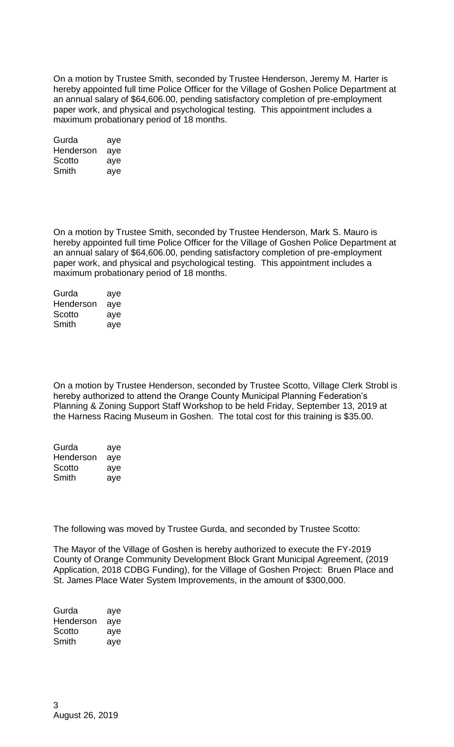On a motion by Trustee Smith, seconded by Trustee Henderson, Jeremy M. Harter is hereby appointed full time Police Officer for the Village of Goshen Police Department at an annual salary of \$64,606.00, pending satisfactory completion of pre-employment paper work, and physical and psychological testing. This appointment includes a maximum probationary period of 18 months.

| Gurda     | aye |
|-----------|-----|
| Henderson | aye |
| Scotto    | aye |
| Smith     | aye |

On a motion by Trustee Smith, seconded by Trustee Henderson, Mark S. Mauro is hereby appointed full time Police Officer for the Village of Goshen Police Department at an annual salary of \$64,606.00, pending satisfactory completion of pre-employment paper work, and physical and psychological testing. This appointment includes a maximum probationary period of 18 months.

| Gurda     | aye |
|-----------|-----|
| Henderson | aye |
| Scotto    | aye |
| Smith     | aye |

On a motion by Trustee Henderson, seconded by Trustee Scotto, Village Clerk Strobl is hereby authorized to attend the Orange County Municipal Planning Federation's Planning & Zoning Support Staff Workshop to be held Friday, September 13, 2019 at the Harness Racing Museum in Goshen. The total cost for this training is \$35.00.

| Gurda     | aye |
|-----------|-----|
| Henderson | aye |
| Scotto    | aye |
| Smith     | aye |

The following was moved by Trustee Gurda, and seconded by Trustee Scotto:

The Mayor of the Village of Goshen is hereby authorized to execute the FY-2019 County of Orange Community Development Block Grant Municipal Agreement, (2019 Application, 2018 CDBG Funding), for the Village of Goshen Project: Bruen Place and St. James Place Water System Improvements, in the amount of \$300,000.

| Gurda     | aye |
|-----------|-----|
| Henderson | aye |
| Scotto    | aye |
| Smith     | aye |